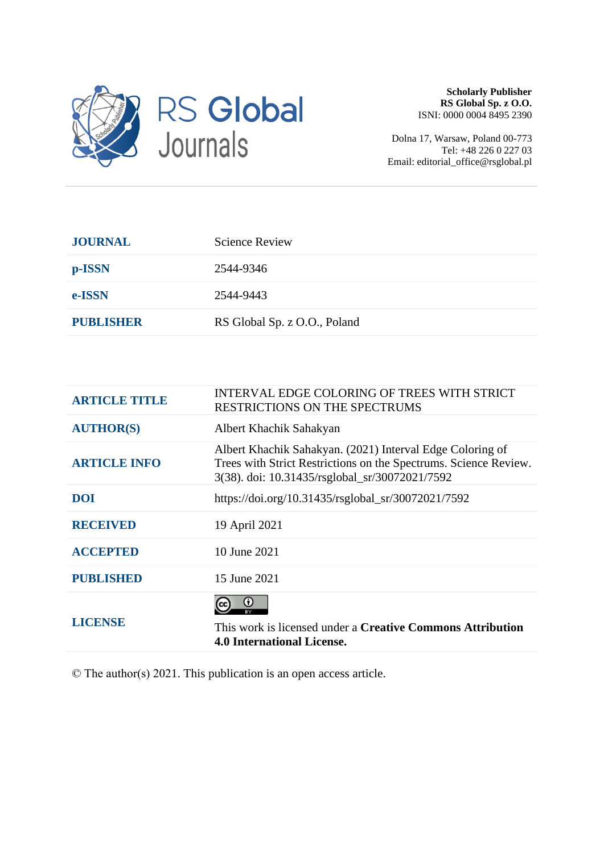

**Scholarly Publisher RS Global Sp. z O.O.** ISNI: 0000 0004 8495 2390

Dolna 17, Warsaw, Poland 00-773 Tel: +48 226 0 227 03 Email: editorial\_office@rsglobal.pl

| <b>JOURNAL</b>   | <b>Science Review</b>        |
|------------------|------------------------------|
| p-ISSN           | 2544-9346                    |
| e-ISSN           | 2544-9443                    |
| <b>PUBLISHER</b> | RS Global Sp. z O.O., Poland |

| <b>ARTICLE TITLE</b> | INTERVAL EDGE COLORING OF TREES WITH STRICT<br>RESTRICTIONS ON THE SPECTRUMS                                                                                                    |
|----------------------|---------------------------------------------------------------------------------------------------------------------------------------------------------------------------------|
| <b>AUTHOR(S)</b>     | Albert Khachik Sahakyan                                                                                                                                                         |
| <b>ARTICLE INFO</b>  | Albert Khachik Sahakyan. (2021) Interval Edge Coloring of<br>Trees with Strict Restrictions on the Spectrums. Science Review.<br>3(38). doi: 10.31435/rsglobal_sr/30072021/7592 |
| <b>DOI</b>           | https://doi.org/10.31435/rsglobal_sr/30072021/7592                                                                                                                              |
| <b>RECEIVED</b>      | 19 April 2021                                                                                                                                                                   |
| <b>ACCEPTED</b>      | 10 June 2021                                                                                                                                                                    |
| <b>PUBLISHED</b>     | 15 June 2021                                                                                                                                                                    |
| <b>LICENSE</b>       | This work is licensed under a <b>Creative Commons Attribution</b><br><b>4.0 International License.</b>                                                                          |

© The author(s) 2021. This publication is an open access article.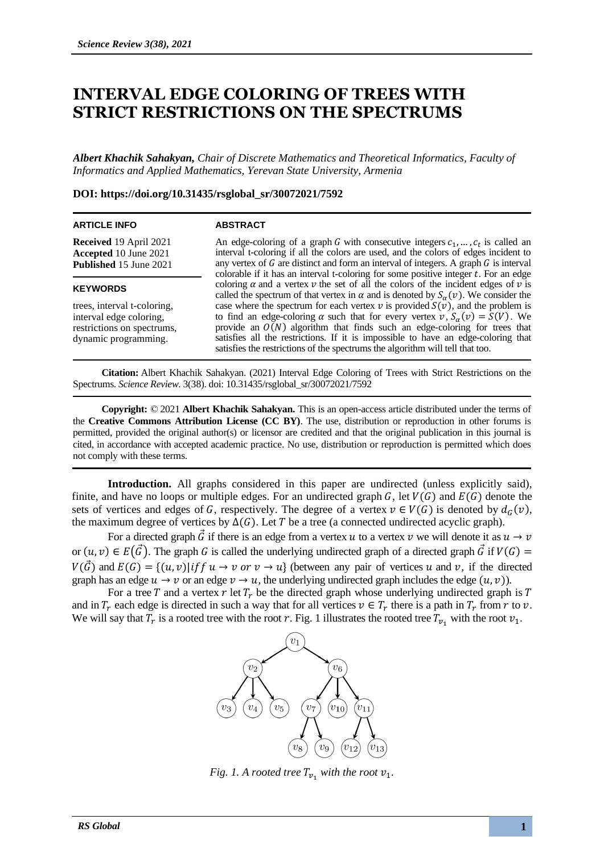# **INTERVAL EDGE COLORING OF TREES WITH STRICT RESTRICTIONS ON THE SPECTRUMS**

*Albert Khachik Sahakyan, Chair of Discrete Mathematics and Theoretical Informatics, Faculty of Informatics and Applied Mathematics, Yerevan State University, Armenia*

### **DOI: https://doi.org/10.31435/rsglobal\_sr/30072021/7592**

#### **ARTICLE INFO**

### **ABSTRACT**

**Received** 19 April 2021 **Accepted** 10 June 2021 **Published** 15 June 2021

#### **KEYWORDS**

trees, interval t-coloring, interval edge coloring, restrictions on spectrums, dynamic programming.

An edge-coloring of a graph G with consecutive integers  $c_1, \ldots, c_t$  is called an interval t-coloring if all the colors are used, and the colors of edges incident to any vertex of  $G$  are distinct and form an interval of integers. A graph  $G$  is interval colorable if it has an interval t-coloring for some positive integer  $t$ . For an edge coloring  $\alpha$  and a vertex  $\nu$  the set of all the colors of the incident edges of  $\nu$  is called the spectrum of that vertex in  $\alpha$  and is denoted by  $S_{\alpha}(v)$ . We consider the case where the spectrum for each vertex  $\nu$  is provided  $S(\nu)$ , and the problem is to find an edge-coloring  $\alpha$  such that for every vertex  $v, S_{\alpha}(v) = S(V)$ . We provide an  $\overline{O(N)}$  algorithm that finds such an edge-coloring for trees that satisfies all the restrictions. If it is impossible to have an edge-coloring that satisfies the restrictions of the spectrums the algorithm will tell that too.

**Citation:** Albert Khachik Sahakyan. (2021) Interval Edge Coloring of Trees with Strict Restrictions on the Spectrums. *Science Review*. 3(38). doi: 10.31435/rsglobal\_sr/30072021/7592

**Copyright:** © 2021 **Albert Khachik Sahakyan.** This is an open-access article distributed under the terms of the **Creative Commons Attribution License (CC BY)**. The use, distribution or reproduction in other forums is permitted, provided the original author(s) or licensor are credited and that the original publication in this journal is cited, in accordance with accepted academic practice. No use, distribution or reproduction is permitted which does not comply with these terms.

**Introduction.** All graphs considered in this paper are undirected (unless explicitly said), finite, and have no loops or multiple edges. For an undirected graph G, let  $V(G)$  and  $E(G)$  denote the sets of vertices and edges of G, respectively. The degree of a vertex  $v \in V(G)$  is denoted by  $d_G(v)$ , the maximum degree of vertices by  $\Delta(G)$ . Let T be a tree (a connected undirected acyclic graph).

For a directed graph  $\vec{G}$  if there is an edge from a vertex  $u$  to a vertex  $v$  we will denote it as  $u \to v$ or  $(u, v) \in E(\vec{G})$ . The graph G is called the underlying undirected graph of a directed graph  $\vec{G}$  if  $V(G)$  =  $V(\vec{G})$  and  $E(G) = \{(u, v)|if \mid u \to v \text{ or } v \to u\}$  (between any pair of vertices u and v, if the directed graph has an edge  $u \to v$  or an edge  $v \to u$ , the underlying undirected graph includes the edge  $(u, v)$ ).

For a tree T and a vertex r let  $T_r$  be the directed graph whose underlying undirected graph is T and in  $T_r$  each edge is directed in such a way that for all vertices  $v \in T_r$  there is a path in  $T_r$  from r to v. We will say that  $T_r$  is a rooted tree with the root r. Fig. 1 illustrates the rooted tree  $T_{v_1}$  with the root  $v_1$ .



*Fig.* 1. A rooted tree  $T_{v_1}$  with the root  $v_1$ .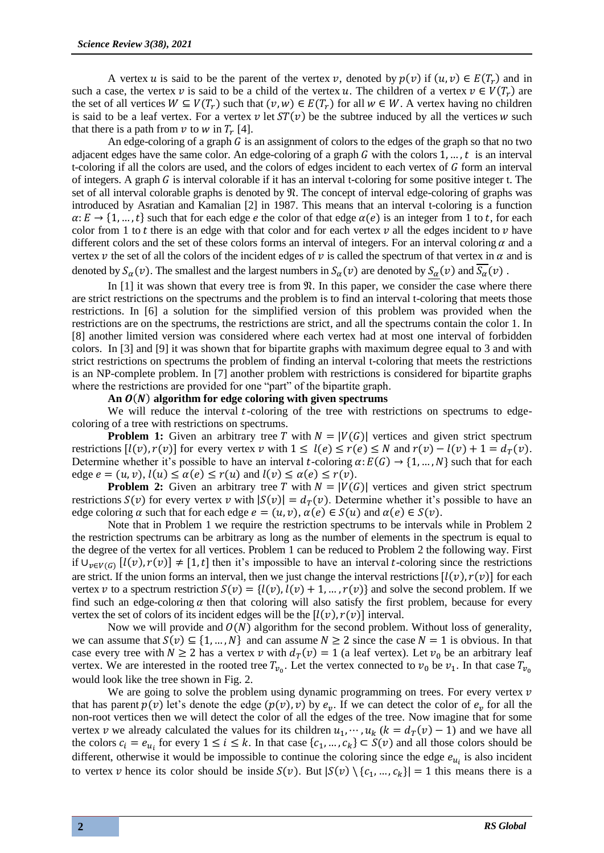A vertex *u* is said to be the parent of the vertex *v*, denoted by  $p(v)$  if  $(u, v) \in E(T_r)$  and in such a case, the vertex  $v$  is said to be a child of the vertex  $u$ . The children of a vertex  $v \in V(T_r)$  are the set of all vertices  $W \subseteq V(T_r)$  such that  $(v, w) \in E(T_r)$  for all  $w \in W$ . A vertex having no children is said to be a leaf vertex. For a vertex  $v$  let  $ST(v)$  be the subtree induced by all the vertices w such that there is a path from  $\nu$  to  $w$  in  $T_r$  [4].

An edge-coloring of a graph  $G$  is an assignment of colors to the edges of the graph so that no two adjacent edges have the same color. An edge-coloring of a graph  $G$  with the colors 1, ..., t is an interval t-coloring if all the colors are used, and the colors of edges incident to each vertex of  $G$  form an interval of integers. A graph  $G$  is interval colorable if it has an interval t-coloring for some positive integer t. The set of all interval colorable graphs is denoted by  $\mathfrak{N}$ . The concept of interval edge-coloring of graphs was introduced by Asratian and Kamalian [2] in 1987. This means that an interval t-coloring is a function  $\alpha: E \to \{1, ..., t\}$  such that for each edge *e* the color of that edge  $\alpha(e)$  is an integer from 1 to *t*, for each color from 1 to t there is an edge with that color and for each vertex  $\nu$  all the edges incident to  $\nu$  have different colors and the set of these colors forms an interval of integers. For an interval coloring  $\alpha$  and a vertex v the set of all the colors of the incident edges of v is called the spectrum of that vertex in  $\alpha$  and is denoted by  $S_\alpha(v)$ . The smallest and the largest numbers in  $S_\alpha(v)$  are denoted by  $S_\alpha(v)$  and  $S_\alpha(v)$ .

In  $[1]$  it was shown that every tree is from  $\Re$ . In this paper, we consider the case where there are strict restrictions on the spectrums and the problem is to find an interval t-coloring that meets those restrictions. In [6] a solution for the simplified version of this problem was provided when the restrictions are on the spectrums, the restrictions are strict, and all the spectrums contain the color 1. In [8] another limited version was considered where each vertex had at most one interval of forbidden colors. In [3] and [9] it was shown that for bipartite graphs with maximum degree equal to 3 and with strict restrictions on spectrums the problem of finding an interval t-coloring that meets the restrictions is an NP-complete problem. In [7] another problem with restrictions is considered for bipartite graphs where the restrictions are provided for one "part" of the bipartite graph.

### An  $O(N)$  algorithm for edge coloring with given spectrums

We will reduce the interval  $t$ -coloring of the tree with restrictions on spectrums to edgecoloring of a tree with restrictions on spectrums.

**Problem 1:** Given an arbitrary tree T with  $N = |V(G)|$  vertices and given strict spectrum restrictions  $[l(v), r(v)]$  for every vertex v with  $1 \leq l(e) \leq r(e) \leq N$  and  $r(v) - l(v) + 1 = d<sub>T</sub>(v)$ . Determine whether it's possible to have an interval t-coloring  $\alpha: E(G) \to \{1, ..., N\}$  such that for each edge  $e = (u, v), l(u) \le \alpha(e) \le r(u)$  and  $l(v) \le \alpha(e) \le r(v)$ .

**Problem 2:** Given an arbitrary tree T with  $N = |V(G)|$  vertices and given strict spectrum restrictions  $S(v)$  for every vertex v with  $|S(v)| = d<sub>T</sub>(v)$ . Determine whether it's possible to have an edge coloring  $\alpha$  such that for each edge  $e = (u, v), \alpha(e) \in S(u)$  and  $\alpha(e) \in S(v)$ .

Note that in Problem 1 we require the restriction spectrums to be intervals while in Problem 2 the restriction spectrums can be arbitrary as long as the number of elements in the spectrum is equal to the degree of the vertex for all vertices. Problem 1 can be reduced to Problem 2 the following way. First if  $\bigcup_{v \in V(G)} [l(v), r(v)] \neq [1, t]$  then it's impossible to have an interval t-coloring since the restrictions are strict. If the union forms an interval, then we just change the interval restrictions  $[l(v), r(v)]$  for each vertex v to a spectrum restriction  $S(v) = \{l(v), l(v) + 1, ..., r(v)\}\$  and solve the second problem. If we find such an edge-coloring  $\alpha$  then that coloring will also satisfy the first problem, because for every vertex the set of colors of its incident edges will be the  $[l(v), r(v)]$  interval.

Now we will provide and  $O(N)$  algorithm for the second problem. Without loss of generality, we can assume that  $S(v) \subseteq \{1, ..., N\}$  and can assume  $N \ge 2$  since the case  $N = 1$  is obvious. In that case every tree with  $N \ge 2$  has a vertex  $\nu$  with  $d_T(\nu) = 1$  (a leaf vertex). Let  $\nu_0$  be an arbitrary leaf vertex. We are interested in the rooted tree  $T_{v_0}$ . Let the vertex connected to  $v_0$  be  $v_1$ . In that case  $T_{v_0}$ would look like the tree shown in Fig. 2.

We are going to solve the problem using dynamic programming on trees. For every vertex  $\nu$ that has parent  $p(v)$  let's denote the edge  $(p(v), v)$  by  $e_v$ . If we can detect the color of  $e_v$  for all the non-root vertices then we will detect the color of all the edges of the tree. Now imagine that for some vertex v we already calculated the values for its children  $u_1, \dots, u_k$  ( $k = d<sub>T</sub>(v) - 1$ ) and we have all the colors  $c_i = e_{u_i}$  for every  $1 \le i \le k$ . In that case  $\{c_1, ..., c_k\} \subset S(v)$  and all those colors should be different, otherwise it would be impossible to continue the coloring since the edge  $e_{u_i}$  is also incident to vertex v hence its color should be inside  $S(v)$ . But  $|S(v) \setminus \{c_1, ..., c_k\}| = 1$  this means there is a